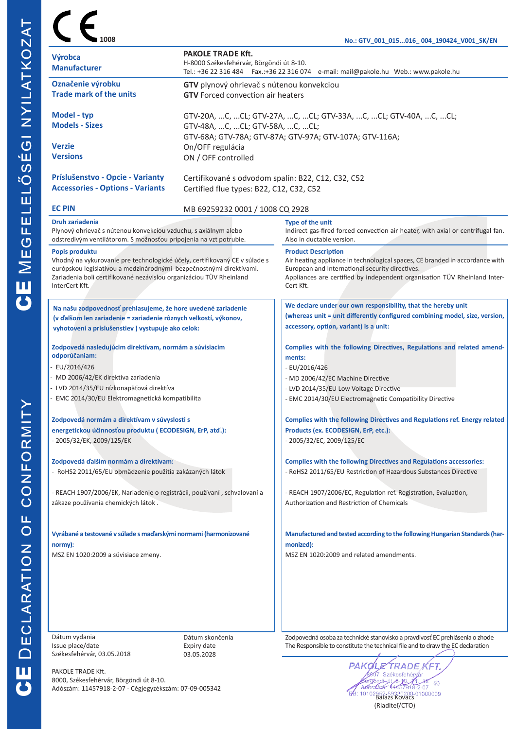|                                                                                                                                                                                                                                                              | <b>PAKOLE TRADE Kft.</b>                                                                                                          | No.: GTV_001_015016_ 004_190424_V001_SK/EN                                                                                                                                                                                                              |  |  |  |
|--------------------------------------------------------------------------------------------------------------------------------------------------------------------------------------------------------------------------------------------------------------|-----------------------------------------------------------------------------------------------------------------------------------|---------------------------------------------------------------------------------------------------------------------------------------------------------------------------------------------------------------------------------------------------------|--|--|--|
| Výrobca<br><b>Manufacturer</b>                                                                                                                                                                                                                               | H-8000 Székesfehérvár, Börgöndi út 8-10.<br>Tel.: +36 22 316 484  Fax.:+36 22 316 074  e-mail: mail@pakole.hu Web.: www.pakole.hu |                                                                                                                                                                                                                                                         |  |  |  |
| Označenie výrobku                                                                                                                                                                                                                                            | GTV plynový ohrievač s nútenou konvekciou                                                                                         |                                                                                                                                                                                                                                                         |  |  |  |
| <b>Trade mark of the units</b>                                                                                                                                                                                                                               | <b>GTV</b> Forced convection air heaters                                                                                          |                                                                                                                                                                                                                                                         |  |  |  |
| Model - typ                                                                                                                                                                                                                                                  | GTV-20A, C, CL; GTV-27A, C, CL; GTV-33A, C, CL; GTV-40A, C, CL;                                                                   |                                                                                                                                                                                                                                                         |  |  |  |
| <b>Models - Sizes</b>                                                                                                                                                                                                                                        | GTV-48A, C, CL; GTV-58A, C, CL;<br>GTV-68A; GTV-78A; GTV-87A; GTV-97A; GTV-107A; GTV-116A;                                        |                                                                                                                                                                                                                                                         |  |  |  |
| <b>Verzie</b>                                                                                                                                                                                                                                                | On/OFF regulácia                                                                                                                  |                                                                                                                                                                                                                                                         |  |  |  |
| <b>Versions</b>                                                                                                                                                                                                                                              | ON / OFF controlled                                                                                                               |                                                                                                                                                                                                                                                         |  |  |  |
| Príslušenstvo - Opcie - Varianty                                                                                                                                                                                                                             | Certifikované s odvodom spalín: B22, C12, C32, C52                                                                                |                                                                                                                                                                                                                                                         |  |  |  |
| <b>Accessories - Options - Variants</b>                                                                                                                                                                                                                      | Certified flue types: B22, C12, C32, C52                                                                                          |                                                                                                                                                                                                                                                         |  |  |  |
| <b>EC PIN</b>                                                                                                                                                                                                                                                | MB 69259232 0001 / 1008 CQ 2928                                                                                                   |                                                                                                                                                                                                                                                         |  |  |  |
| Druh zariadenia<br>Plynový ohrievač s nútenou konvekciou vzduchu, s axiálnym alebo<br>odstredivým ventilátorom. S možnosťou pripojenia na vzt potrubie.                                                                                                      |                                                                                                                                   | Type of the unit<br>Indirect gas-fired forced convection air heater, with axial or centrifugal fan.<br>Also in ductable version.                                                                                                                        |  |  |  |
| Popis produktu<br>Vhodný na vykurovanie pre technologické účely, certifikovaný CE v súlade s<br>európskou legislatívou a medzinárodnými bezpečnostnými direktívami.<br>Zariadenia boli certifikované nezávislou organizáciou TÜV Rheinland<br>InterCert Kft. |                                                                                                                                   | <b>Product Description</b><br>Air heating appliance in technological spaces, CE branded in accordance with<br>European and International security directives.<br>Appliances are certified by independent organisation TÜV Rheinland Inter-<br>Cert Kft. |  |  |  |
|                                                                                                                                                                                                                                                              |                                                                                                                                   | We declare under our own responsibility, that the hereby unit                                                                                                                                                                                           |  |  |  |
| Na našu zodpovednosť prehlasujeme, že hore uvedené zariadenie<br>(v ďalšom len zariadenie = zariadenie rôznych velkostí, výkonov,                                                                                                                            |                                                                                                                                   | (whereas unit = unit differently configured combining model, size, version,                                                                                                                                                                             |  |  |  |
| vyhotovení a príslušenstiev) vystupuje ako celok:                                                                                                                                                                                                            |                                                                                                                                   | accessory, option, variant) is a unit:                                                                                                                                                                                                                  |  |  |  |
| Zodpovedá nasledujúcim direktívam, normám a súvisiacim<br>odporúčaniam:                                                                                                                                                                                      |                                                                                                                                   | Complies with the following Directives, Regulations and related amend-<br>ments:                                                                                                                                                                        |  |  |  |
| EU/2016/426                                                                                                                                                                                                                                                  |                                                                                                                                   | $-EU/2016/426$                                                                                                                                                                                                                                          |  |  |  |
| MD 2006/42/EK direktíva zariadenia                                                                                                                                                                                                                           |                                                                                                                                   | - MD 2006/42/EC Machine Directive                                                                                                                                                                                                                       |  |  |  |
| LVD 2014/35/EU nízkonapäťová direktíva<br>EMC 2014/30/EU Elektromagnetická kompatibilita                                                                                                                                                                     |                                                                                                                                   | - LVD 2014/35/EU Low Voltage Directive<br>- EMC 2014/30/EU Electromagnetic Compatibility Directive                                                                                                                                                      |  |  |  |
| Zodpovedá normám a direktívam v súvyslosti s                                                                                                                                                                                                                 |                                                                                                                                   | Complies with the following Directives and Regulations ref. Energy related                                                                                                                                                                              |  |  |  |
| energetickou účinnosťou produktu (ECODESIGN, ErP, atď.):                                                                                                                                                                                                     |                                                                                                                                   | Products (ex. ECODESIGN, ErP, etc.):                                                                                                                                                                                                                    |  |  |  |
| - 2005/32/EK, 2009/125/EK                                                                                                                                                                                                                                    |                                                                                                                                   | - 2005/32/EC, 2009/125/EC                                                                                                                                                                                                                               |  |  |  |
| Zodpovedá ďalším normám a direktívam:                                                                                                                                                                                                                        |                                                                                                                                   | <b>Complies with the following Directives and Regulations accessories:</b>                                                                                                                                                                              |  |  |  |
| - RoHS2 2011/65/EU obmädzenie použitia zakázaných látok                                                                                                                                                                                                      |                                                                                                                                   | - RoHS2 2011/65/EU Restriction of Hazardous Substances Directive                                                                                                                                                                                        |  |  |  |
| - REACH 1907/2006/EK, Nariadenie o registrácii, používaní, schvalovaní a                                                                                                                                                                                     |                                                                                                                                   | - REACH 1907/2006/EC, Regulation ref. Registration, Evaluation,                                                                                                                                                                                         |  |  |  |
| zákaze používania chemických látok.                                                                                                                                                                                                                          |                                                                                                                                   | Authorization and Restriction of Chemicals                                                                                                                                                                                                              |  |  |  |
| Vyrábané a testované v súlade s maďarskými normami (harmonizované                                                                                                                                                                                            |                                                                                                                                   | Manufactured and tested according to the following Hungarian Standards (har-                                                                                                                                                                            |  |  |  |
| normy):                                                                                                                                                                                                                                                      |                                                                                                                                   | monized):                                                                                                                                                                                                                                               |  |  |  |
| MSZ EN 1020:2009 a súvisiace zmeny.                                                                                                                                                                                                                          |                                                                                                                                   | MSZ EN 1020:2009 and related amendments.                                                                                                                                                                                                                |  |  |  |
|                                                                                                                                                                                                                                                              |                                                                                                                                   |                                                                                                                                                                                                                                                         |  |  |  |
|                                                                                                                                                                                                                                                              |                                                                                                                                   |                                                                                                                                                                                                                                                         |  |  |  |
|                                                                                                                                                                                                                                                              |                                                                                                                                   |                                                                                                                                                                                                                                                         |  |  |  |

Dátum vydania Issue place/date Székesfehérvár, 03.05.2018

Dátum skončenia Expiry date 03.05.2028

Zodpovedná osoba za technické stanovisko a pravdivosť EC prehlásenia o zhode The Responsible to constitute the technical file and to draw the EC declaration

PAKOLE TRADE Kft. 8000, Székesfehérvár, Börgöndi út 8-10. Adószám: 11457918-2-07 - Cégjegyzékszám: 07-09-005342